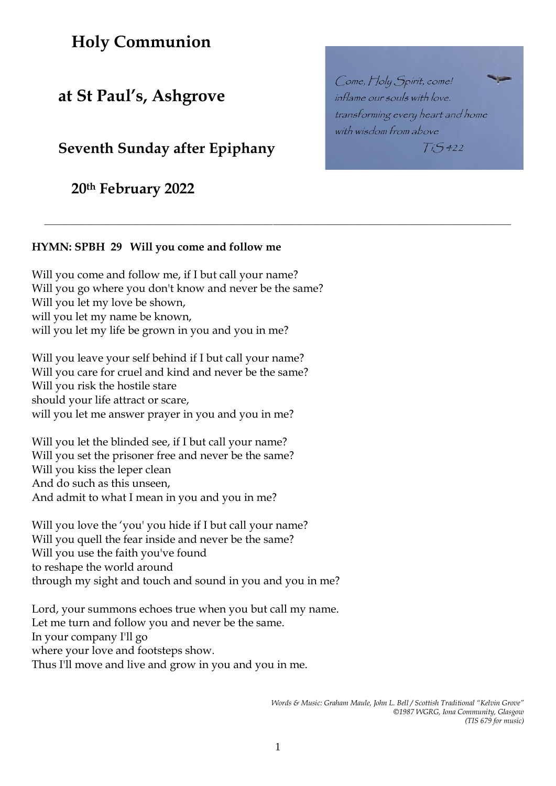# **Holy Communion**

# **at St Paul's, Ashgrove**

# **Seventh Sunday after Epiphany**

**20th February 2022**

# **HYMN: SPBH 29 Will you come and follow me**

Will you come and follow me, if I but call your name? Will you go where you don't know and never be the same? Will you let my love be shown, will you let my name be known, will you let my life be grown in you and you in me?

Will you leave your self behind if I but call your name? Will you care for cruel and kind and never be the same? Will you risk the hostile stare should your life attract or scare, will you let me answer prayer in you and you in me?

Will you let the blinded see, if I but call your name? Will you set the prisoner free and never be the same? Will you kiss the leper clean And do such as this unseen, And admit to what I mean in you and you in me?

Will you love the 'you' you hide if I but call your name? Will you quell the fear inside and never be the same? Will you use the faith you've found to reshape the world around through my sight and touch and sound in you and you in me?

Lord, your summons echoes true when you but call my name. Let me turn and follow you and never be the same. In your company I'll go where your love and footsteps show. Thus I'll move and live and grow in you and you in me.

1

**\_\_\_\_\_\_\_\_\_\_\_\_\_\_\_\_\_\_\_\_\_\_\_\_\_\_\_\_\_\_\_\_\_\_\_\_\_\_\_\_\_\_\_\_\_\_\_\_\_\_\_\_\_\_\_\_\_\_\_\_\_\_\_\_\_\_\_\_\_\_\_\_\_\_\_\_\_\_\_\_\_\_\_\_\_\_\_\_\_\_\_\_\_\_\_\_\_\_\_\_**

Come, Holy Spirit, come! inflame our souls with love. transforming every heart and home with wisdom from above  $T_{15}5422$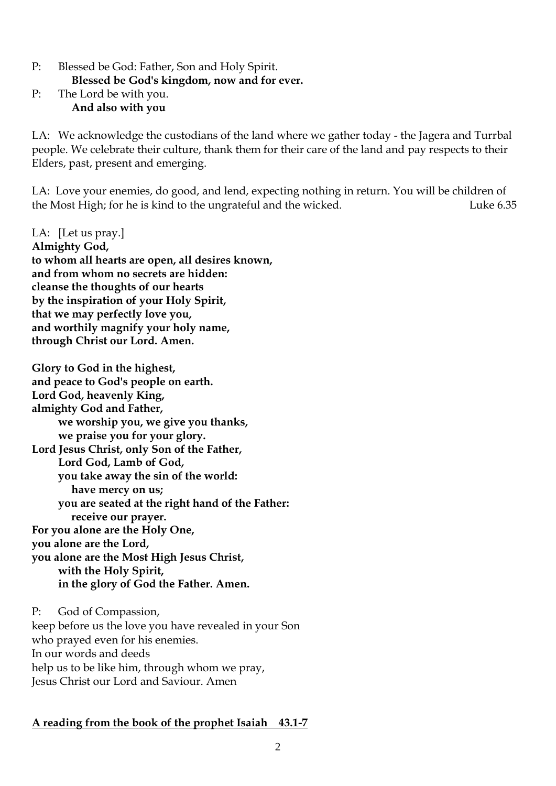P: Blessed be God: Father, Son and Holy Spirit. **Blessed be God's kingdom, now and for ever.**  P: The Lord be with you.

**And also with you**

LA: We acknowledge the custodians of the land where we gather today - the Jagera and Turrbal people. We celebrate their culture, thank them for their care of the land and pay respects to their Elders, past, present and emerging.

LA: Love your enemies, do good, and lend, expecting nothing in return. You will be children of the Most High; for he is kind to the ungrateful and the wicked. Luke 6.35

LA: [Let us pray.] **Almighty God, to whom all hearts are open, all desires known, and from whom no secrets are hidden: cleanse the thoughts of our hearts by the inspiration of your Holy Spirit, that we may perfectly love you, and worthily magnify your holy name, through Christ our Lord. Amen.** 

**Glory to God in the highest, and peace to God's people on earth. Lord God, heavenly King, almighty God and Father, we worship you, we give you thanks, we praise you for your glory. Lord Jesus Christ, only Son of the Father, Lord God, Lamb of God, you take away the sin of the world: have mercy on us; you are seated at the right hand of the Father: receive our prayer. For you alone are the Holy One, you alone are the Lord, you alone are the Most High Jesus Christ, with the Holy Spirit, in the glory of God the Father. Amen.** 

P: God of Compassion, keep before us the love you have revealed in your Son who prayed even for his enemies. In our words and deeds help us to be like him, through whom we pray, Jesus Christ our Lord and Saviour. Amen

# **A reading from the book of the prophet Isaiah 43.1-7**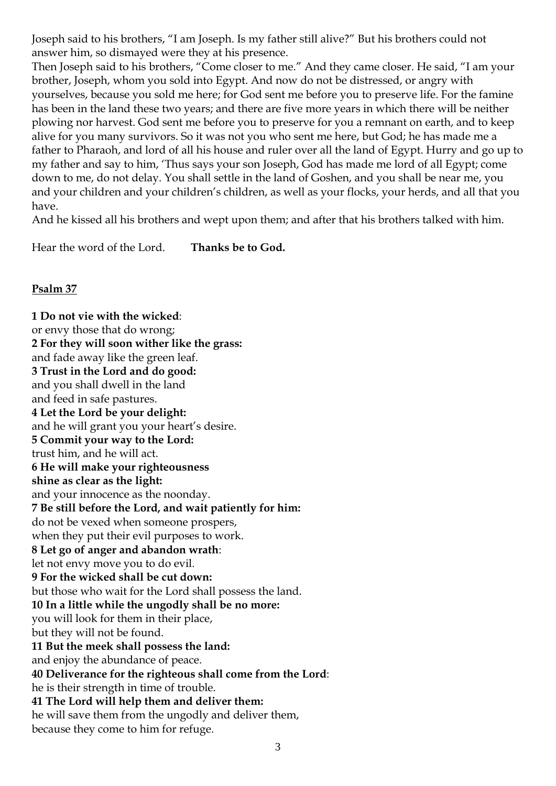Joseph said to his brothers, "I am Joseph. Is my father still alive?" But his brothers could not answer him, so dismayed were they at his presence.

Then Joseph said to his brothers, "Come closer to me." And they came closer. He said, "I am your brother, Joseph, whom you sold into Egypt. And now do not be distressed, or angry with yourselves, because you sold me here; for God sent me before you to preserve life. For the famine has been in the land these two years; and there are five more years in which there will be neither plowing nor harvest. God sent me before you to preserve for you a remnant on earth, and to keep alive for you many survivors. So it was not you who sent me here, but God; he has made me a father to Pharaoh, and lord of all his house and ruler over all the land of Egypt. Hurry and go up to my father and say to him, 'Thus says your son Joseph, God has made me lord of all Egypt; come down to me, do not delay. You shall settle in the land of Goshen, and you shall be near me, you and your children and your children's children, as well as your flocks, your herds, and all that you have.

And he kissed all his brothers and wept upon them; and after that his brothers talked with him.

Hear the word of the Lord. **Thanks be to God.**

# **Psalm 37**

**1 Do not vie with the wicked**: or envy those that do wrong; **2 For they will soon wither like the grass:** and fade away like the green leaf. **3 Trust in the Lord and do good:** and you shall dwell in the land and feed in safe pastures. **4 Let the Lord be your delight:** and he will grant you your heart's desire. **5 Commit your way to the Lord:** trust him, and he will act. **6 He will make your righteousness shine as clear as the light:** and your innocence as the noonday. **7 Be still before the Lord, and wait patiently for him:** do not be vexed when someone prospers, when they put their evil purposes to work. **8 Let go of anger and abandon wrath**: let not envy move you to do evil. **9 For the wicked shall be cut down:** but those who wait for the Lord shall possess the land. **10 In a little while the ungodly shall be no more:** you will look for them in their place, but they will not be found. **11 But the meek shall possess the land:** and enjoy the abundance of peace. **40 Deliverance for the righteous shall come from the Lord**: he is their strength in time of trouble. **41 The Lord will help them and deliver them:** he will save them from the ungodly and deliver them, because they come to him for refuge.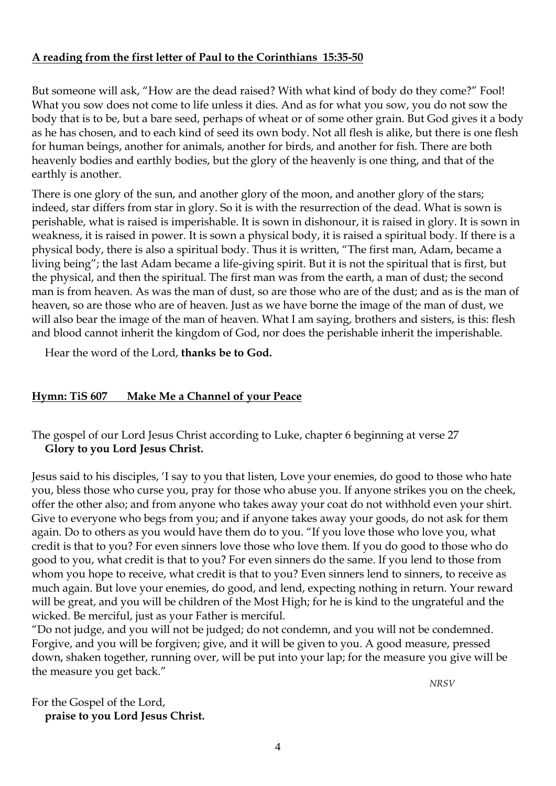#### **A reading from the first letter of Paul to the Corinthians 15:35-50**

But someone will ask, "How are the dead raised? With what kind of body do they come?" Fool! What you sow does not come to life unless it dies. And as for what you sow, you do not sow the body that is to be, but a bare seed, perhaps of wheat or of some other grain. But God gives it a body as he has chosen, and to each kind of seed its own body. Not all flesh is alike, but there is one flesh for human beings, another for animals, another for birds, and another for fish. There are both heavenly bodies and earthly bodies, but the glory of the heavenly is one thing, and that of the earthly is another.

There is one glory of the sun, and another glory of the moon, and another glory of the stars; indeed, star differs from star in glory. So it is with the resurrection of the dead. What is sown is perishable, what is raised is imperishable. It is sown in dishonour, it is raised in glory. It is sown in weakness, it is raised in power. It is sown a physical body, it is raised a spiritual body. If there is a physical body, there is also a spiritual body. Thus it is written, "The first man, Adam, became a living being"; the last Adam became a life-giving spirit. But it is not the spiritual that is first, but the physical, and then the spiritual. The first man was from the earth, a man of dust; the second man is from heaven. As was the man of dust, so are those who are of the dust; and as is the man of heaven, so are those who are of heaven. Just as we have borne the image of the man of dust, we will also bear the image of the man of heaven. What I am saying, brothers and sisters, is this: flesh and blood cannot inherit the kingdom of God, nor does the perishable inherit the imperishable.

Hear the word of the Lord, **thanks be to God.**

# **Hymn: TiS 607 Make Me a Channel of your Peace**

# The gospel of our Lord Jesus Christ according to Luke, chapter 6 beginning at verse 27 **Glory to you Lord Jesus Christ.**

Jesus said to his disciples, 'I say to you that listen, Love your enemies, do good to those who hate you, bless those who curse you, pray for those who abuse you. If anyone strikes you on the cheek, offer the other also; and from anyone who takes away your coat do not withhold even your shirt. Give to everyone who begs from you; and if anyone takes away your goods, do not ask for them again. Do to others as you would have them do to you. "If you love those who love you, what credit is that to you? For even sinners love those who love them. If you do good to those who do good to you, what credit is that to you? For even sinners do the same. If you lend to those from whom you hope to receive, what credit is that to you? Even sinners lend to sinners, to receive as much again. But love your enemies, do good, and lend, expecting nothing in return. Your reward will be great, and you will be children of the Most High; for he is kind to the ungrateful and the wicked. Be merciful, just as your Father is merciful.

"Do not judge, and you will not be judged; do not condemn, and you will not be condemned. Forgive, and you will be forgiven; give, and it will be given to you. A good measure, pressed down, shaken together, running over, will be put into your lap; for the measure you give will be the measure you get back."

For the Gospel of the Lord, **praise to you Lord Jesus Christ.** *NRSV*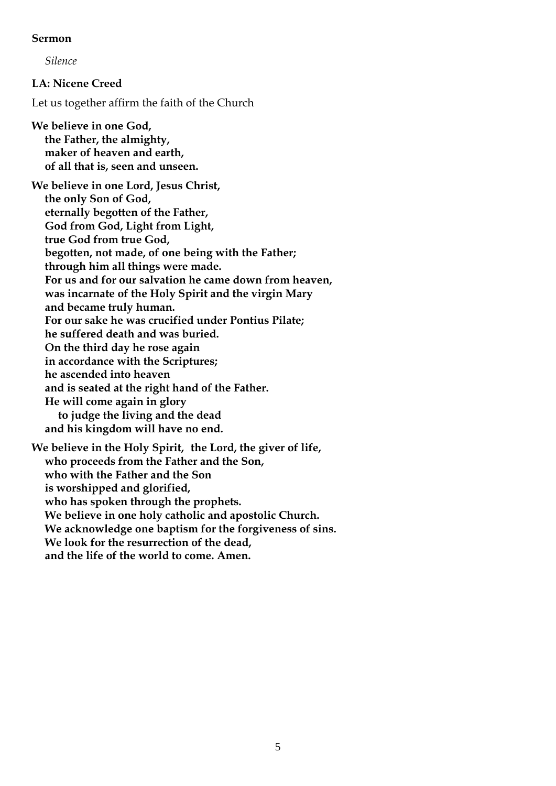#### **Sermon**

*Silence*

**LA: Nicene Creed** 

Let us together affirm the faith of the Church

**We believe in one God, the Father, the almighty, maker of heaven and earth, of all that is, seen and unseen.** 

**We believe in one Lord, Jesus Christ, the only Son of God, eternally begotten of the Father, God from God, Light from Light, true God from true God, begotten, not made, of one being with the Father; through him all things were made. For us and for our salvation he came down from heaven, was incarnate of the Holy Spirit and the virgin Mary and became truly human. For our sake he was crucified under Pontius Pilate; he suffered death and was buried. On the third day he rose again in accordance with the Scriptures; he ascended into heaven and is seated at the right hand of the Father. He will come again in glory to judge the living and the dead and his kingdom will have no end. We believe in the Holy Spirit, the Lord, the giver of life,** 

**who proceeds from the Father and the Son,** 

**who with the Father and the Son** 

**is worshipped and glorified,** 

**who has spoken through the prophets.** 

**We believe in one holy catholic and apostolic Church.** 

**We acknowledge one baptism for the forgiveness of sins.** 

**We look for the resurrection of the dead,** 

**and the life of the world to come. Amen.**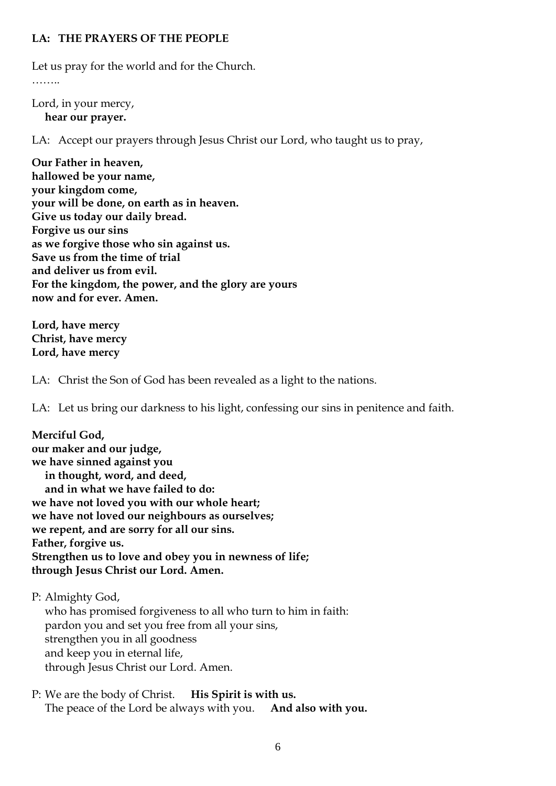#### **LA: THE PRAYERS OF THE PEOPLE**

Let us pray for the world and for the Church.

……

Lord, in your mercy, **hear our prayer.**

LA: Accept our prayers through Jesus Christ our Lord, who taught us to pray,

**Our Father in heaven, hallowed be your name, your kingdom come, your will be done, on earth as in heaven. Give us today our daily bread. Forgive us our sins as we forgive those who sin against us. Save us from the time of trial and deliver us from evil. For the kingdom, the power, and the glory are yours now and for ever. Amen.** 

**Lord, have mercy Christ, have mercy Lord, have mercy**

LA: Christ the Son of God has been revealed as a light to the nations.

LA: Let us bring our darkness to his light, confessing our sins in penitence and faith.

| Merciful God,                                          |
|--------------------------------------------------------|
| our maker and our judge,                               |
| we have sinned against you                             |
| in thought, word, and deed,                            |
| and in what we have failed to do:                      |
| we have not loved you with our whole heart;            |
| we have not loved our neighbours as ourselves;         |
| we repent, and are sorry for all our sins.             |
| Father, forgive us.                                    |
| Strengthen us to love and obey you in newness of life; |
| through Jesus Christ our Lord. Amen.                   |

P: Almighty God, who has promised forgiveness to all who turn to him in faith: pardon you and set you free from all your sins, strengthen you in all goodness and keep you in eternal life, through Jesus Christ our Lord. Amen.

P: We are the body of Christ. **His Spirit is with us.**  The peace of the Lord be always with you. **And also with you.**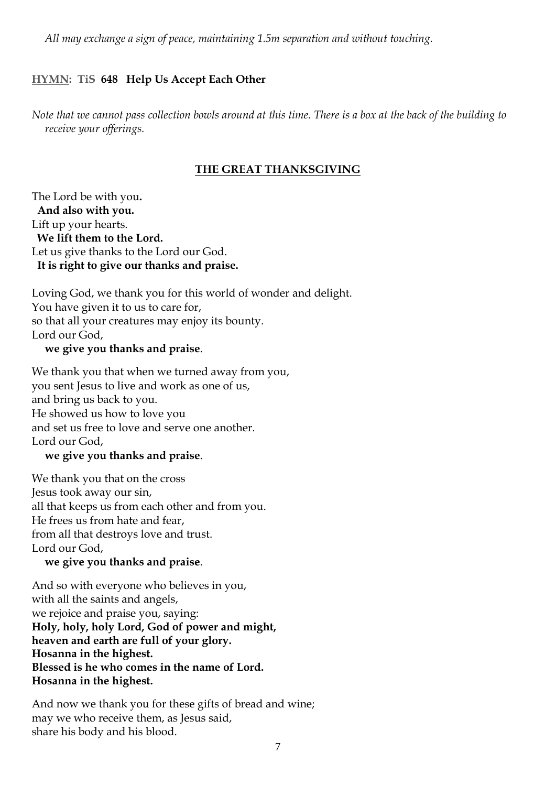*All may exchange a sign of peace, maintaining 1.5m separation and without touching.*

# **HYMN: TiS 648 Help Us Accept Each Other**

*Note that we cannot pass collection bowls around at this time. There is a box at the back of the building to receive your offerings.* 

# **THE GREAT THANKSGIVING**

The Lord be with you**. And also with you.** Lift up your hearts. **We lift them to the Lord.** Let us give thanks to the Lord our God. **It is right to give our thanks and praise.**

Loving God, we thank you for this world of wonder and delight. You have given it to us to care for, so that all your creatures may enjoy its bounty. Lord our God,

#### **we give you thanks and praise**.

We thank you that when we turned away from you, you sent Jesus to live and work as one of us, and bring us back to you. He showed us how to love you and set us free to love and serve one another. Lord our God,

#### **we give you thanks and praise**.

We thank you that on the cross Jesus took away our sin, all that keeps us from each other and from you. He frees us from hate and fear, from all that destroys love and trust. Lord our God,

#### **we give you thanks and praise**.

And so with everyone who believes in you, with all the saints and angels, we rejoice and praise you, saying: **Holy, holy, holy Lord, God of power and might, heaven and earth are full of your glory. Hosanna in the highest. Blessed is he who comes in the name of Lord. Hosanna in the highest.**

And now we thank you for these gifts of bread and wine; may we who receive them, as Jesus said, share his body and his blood.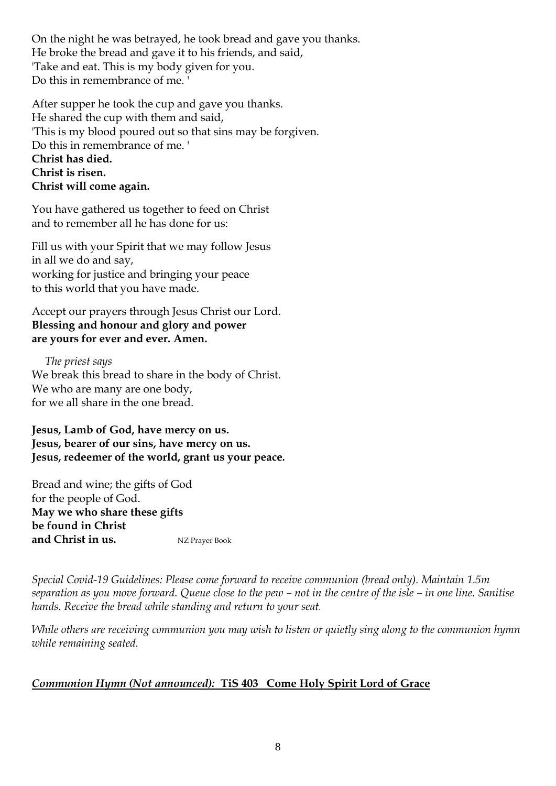On the night he was betrayed, he took bread and gave you thanks. He broke the bread and gave it to his friends, and said, 'Take and eat. This is my body given for you. Do this in remembrance of me.

After supper he took the cup and gave you thanks. He shared the cup with them and said, 'This is my blood poured out so that sins may be forgiven. Do this in remembrance of me. ' **Christ has died. Christ is risen. Christ will come again.**

You have gathered us together to feed on Christ and to remember all he has done for us:

Fill us with your Spirit that we may follow Jesus in all we do and say, working for justice and bringing your peace to this world that you have made.

Accept our prayers through Jesus Christ our Lord. **Blessing and honour and glory and power are yours for ever and ever. Amen.**

*The priest says*  We break this bread to share in the body of Christ. We who are many are one body, for we all share in the one bread.

**Jesus, Lamb of God, have mercy on us. Jesus, bearer of our sins, have mercy on us. Jesus, redeemer of the world, grant us your peace***.* 

Bread and wine; the gifts of God for the people of God. **May we who share these gifts be found in Christ and Christ in us.** NZ Prayer Book

*Special Covid-19 Guidelines: Please come forward to receive communion (bread only). Maintain 1.5m separation as you move forward. Queue close to the pew – not in the centre of the isle – in one line. Sanitise hands. Receive the bread while standing and return to your seat.* 

*While others are receiving communion you may wish to listen or quietly sing along to the communion hymn while remaining seated.* 

# *Communion Hymn (Not announced):* **TiS 403 Come Holy Spirit Lord of Grace**